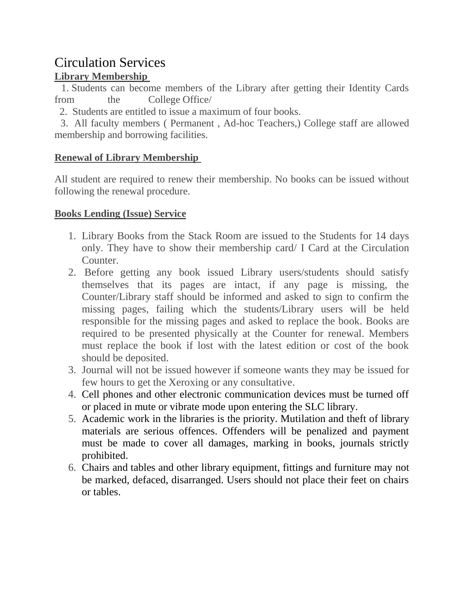# Circulation Services

## **Library Membership**

1. Students can become members of the Library after getting their Identity Cards from the College Office/

2. Students are entitled to issue a maximum of four books.

3. All faculty members ( Permanent , Ad-hoc Teachers,) College staff are allowed membership and borrowing facilities.

## **Renewal of Library Membership**

All student are required to renew their membership. No books can be issued without following the renewal procedure.

## **Books Lending (Issue) Service**

- 1. Library Books from the Stack Room are issued to the Students for 14 days only. They have to show their membership card/ I Card at the Circulation Counter.
- 2. Before getting any book issued Library users/students should satisfy themselves that its pages are intact, if any page is missing, the Counter/Library staff should be informed and asked to sign to confirm the missing pages, failing which the students/Library users will be held responsible for the missing pages and asked to replace the book. Books are required to be presented physically at the Counter for renewal. Members must replace the book if lost with the latest edition or cost of the book should be deposited.
- 3. Journal will not be issued however if someone wants they may be issued for few hours to get the Xeroxing or any consultative.
- 4. Cell phones and other electronic communication devices must be turned off or placed in mute or vibrate mode upon entering the SLC library.
- 5. Academic work in the libraries is the priority. Mutilation and theft of library materials are serious offences. Offenders will be penalized and payment must be made to cover all damages, marking in books, journals strictly prohibited.
- 6. Chairs and tables and other library equipment, fittings and furniture may not be marked, defaced, disarranged. Users should not place their feet on chairs or tables.